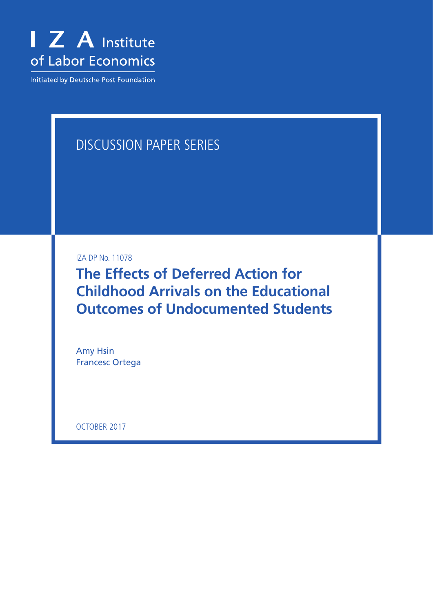

Initiated by Deutsche Post Foundation

# DISCUSSION PAPER SERIES

IZA DP No. 11078

**The Effects of Deferred Action for Childhood Arrivals on the Educational Outcomes of Undocumented Students**

Amy Hsin Francesc Ortega

OCTOBER 2017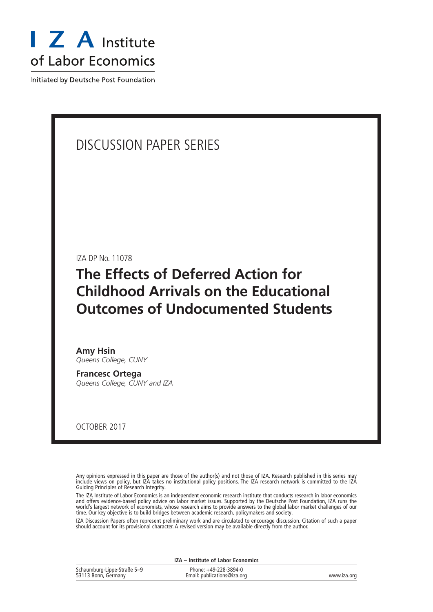

Initiated by Deutsche Post Foundation

## DISCUSSION PAPER SERIES

IZA DP No. 11078

# **The Effects of Deferred Action for Childhood Arrivals on the Educational Outcomes of Undocumented Students**

**Amy Hsin** *Queens College, CUNY*

**Francesc Ortega** *Queens College, CUNY and IZA*

OCTOBER 2017

Any opinions expressed in this paper are those of the author(s) and not those of IZA. Research published in this series may include views on policy, but IZA takes no institutional policy positions. The IZA research network is committed to the IZA Guiding Principles of Research Integrity.

The IZA Institute of Labor Economics is an independent economic research institute that conducts research in labor economics and offers evidence-based policy advice on labor market issues. Supported by the Deutsche Post Foundation, IZA runs the world's largest network of economists, whose research aims to provide answers to the global labor market challenges of our time. Our key objective is to build bridges between academic research, policymakers and society.

IZA Discussion Papers often represent preliminary work and are circulated to encourage discussion. Citation of such a paper should account for its provisional character. A revised version may be available directly from the author.

|                                                    | IZA - Institute of Labor Economics                   |             |  |  |
|----------------------------------------------------|------------------------------------------------------|-------------|--|--|
| Schaumburg-Lippe-Straße 5-9<br>53113 Bonn, Germany | Phone: +49-228-3894-0<br>Email: publications@iza.org | www.iza.org |  |  |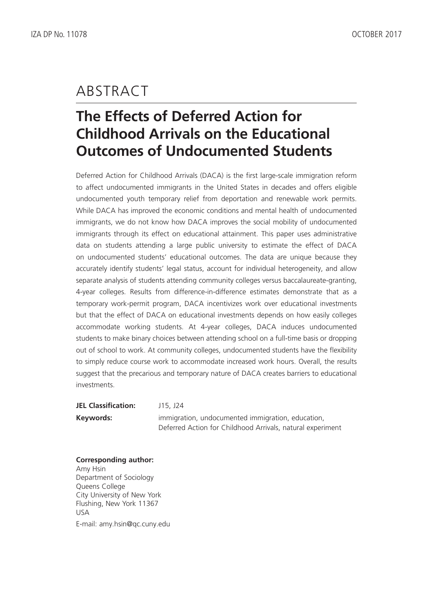## ABSTRACT

# **The Effects of Deferred Action for Childhood Arrivals on the Educational Outcomes of Undocumented Students**

Deferred Action for Childhood Arrivals (DACA) is the first large-scale immigration reform to affect undocumented immigrants in the United States in decades and offers eligible undocumented youth temporary relief from deportation and renewable work permits. While DACA has improved the economic conditions and mental health of undocumented immigrants, we do not know how DACA improves the social mobility of undocumented immigrants through its effect on educational attainment. This paper uses administrative data on students attending a large public university to estimate the effect of DACA on undocumented students' educational outcomes. The data are unique because they accurately identify students' legal status, account for individual heterogeneity, and allow separate analysis of students attending community colleges versus baccalaureate-granting, 4-year colleges. Results from difference-in-difference estimates demonstrate that as a temporary work-permit program, DACA incentivizes work over educational investments but that the effect of DACA on educational investments depends on how easily colleges accommodate working students. At 4-year colleges, DACA induces undocumented students to make binary choices between attending school on a full-time basis or dropping out of school to work. At community colleges, undocumented students have the flexibility to simply reduce course work to accommodate increased work hours. Overall, the results suggest that the precarious and temporary nature of DACA creates barriers to educational investments.

**JEL Classification:** J15, J24 **Keywords:** immigration, undocumented immigration, education, Deferred Action for Childhood Arrivals, natural experiment

#### **Corresponding author:** Amy Hsin Department of Sociology Queens College City University of New York Flushing, New York 11367 USA E-mail: amy.hsin@qc.cuny.edu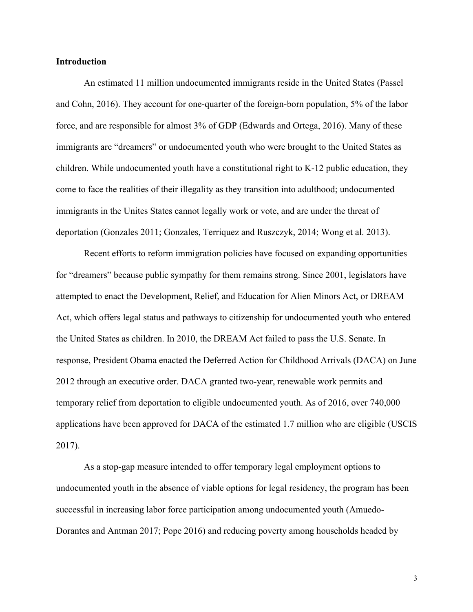#### **Introduction**

An estimated 11 million undocumented immigrants reside in the United States (Passel and Cohn, 2016). They account for one-quarter of the foreign-born population, 5% of the labor force, and are responsible for almost 3% of GDP (Edwards and Ortega, 2016). Many of these immigrants are "dreamers" or undocumented youth who were brought to the United States as children. While undocumented youth have a constitutional right to K-12 public education, they come to face the realities of their illegality as they transition into adulthood; undocumented immigrants in the Unites States cannot legally work or vote, and are under the threat of deportation (Gonzales 2011; Gonzales, Terriquez and Ruszczyk, 2014; Wong et al. 2013).

Recent efforts to reform immigration policies have focused on expanding opportunities for "dreamers" because public sympathy for them remains strong. Since 2001, legislators have attempted to enact the Development, Relief, and Education for Alien Minors Act, or DREAM Act, which offers legal status and pathways to citizenship for undocumented youth who entered the United States as children. In 2010, the DREAM Act failed to pass the U.S. Senate. In response, President Obama enacted the Deferred Action for Childhood Arrivals (DACA) on June 2012 through an executive order. DACA granted two-year, renewable work permits and temporary relief from deportation to eligible undocumented youth. As of 2016, over 740,000 applications have been approved for DACA of the estimated 1.7 million who are eligible (USCIS 2017).

As a stop-gap measure intended to offer temporary legal employment options to undocumented youth in the absence of viable options for legal residency, the program has been successful in increasing labor force participation among undocumented youth (Amuedo-Dorantes and Antman 2017; Pope 2016) and reducing poverty among households headed by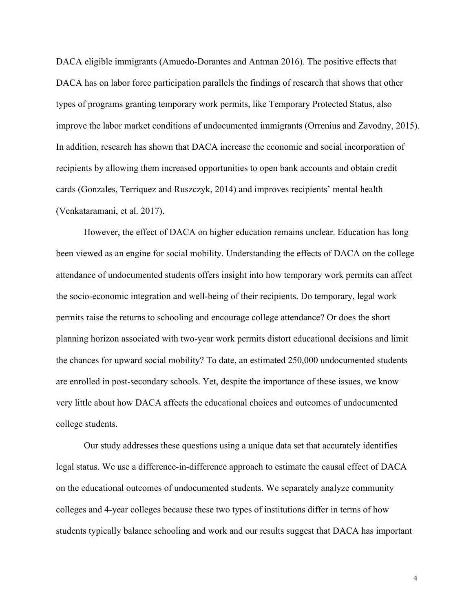DACA eligible immigrants (Amuedo-Dorantes and Antman 2016). The positive effects that DACA has on labor force participation parallels the findings of research that shows that other types of programs granting temporary work permits, like Temporary Protected Status, also improve the labor market conditions of undocumented immigrants (Orrenius and Zavodny, 2015). In addition, research has shown that DACA increase the economic and social incorporation of recipients by allowing them increased opportunities to open bank accounts and obtain credit cards (Gonzales, Terriquez and Ruszczyk, 2014) and improves recipients' mental health (Venkataramani, et al. 2017).

However, the effect of DACA on higher education remains unclear. Education has long been viewed as an engine for social mobility. Understanding the effects of DACA on the college attendance of undocumented students offers insight into how temporary work permits can affect the socio-economic integration and well-being of their recipients. Do temporary, legal work permits raise the returns to schooling and encourage college attendance? Or does the short planning horizon associated with two-year work permits distort educational decisions and limit the chances for upward social mobility? To date, an estimated 250,000 undocumented students are enrolled in post-secondary schools. Yet, despite the importance of these issues, we know very little about how DACA affects the educational choices and outcomes of undocumented college students.

Our study addresses these questions using a unique data set that accurately identifies legal status. We use a difference-in-difference approach to estimate the causal effect of DACA on the educational outcomes of undocumented students. We separately analyze community colleges and 4-year colleges because these two types of institutions differ in terms of how students typically balance schooling and work and our results suggest that DACA has important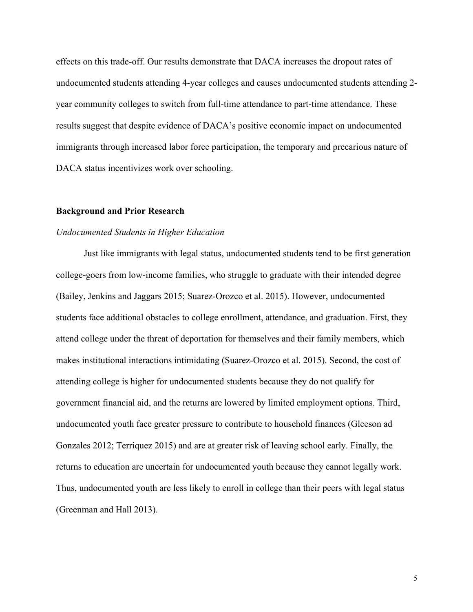effects on this trade-off. Our results demonstrate that DACA increases the dropout rates of undocumented students attending 4-year colleges and causes undocumented students attending 2 year community colleges to switch from full-time attendance to part-time attendance. These results suggest that despite evidence of DACA's positive economic impact on undocumented immigrants through increased labor force participation, the temporary and precarious nature of DACA status incentivizes work over schooling.

#### **Background and Prior Research**

#### *Undocumented Students in Higher Education*

Just like immigrants with legal status, undocumented students tend to be first generation college-goers from low-income families, who struggle to graduate with their intended degree (Bailey, Jenkins and Jaggars 2015; Suarez-Orozco et al. 2015). However, undocumented students face additional obstacles to college enrollment, attendance, and graduation. First, they attend college under the threat of deportation for themselves and their family members, which makes institutional interactions intimidating (Suarez-Orozco et al. 2015). Second, the cost of attending college is higher for undocumented students because they do not qualify for government financial aid, and the returns are lowered by limited employment options. Third, undocumented youth face greater pressure to contribute to household finances (Gleeson ad Gonzales 2012; Terriquez 2015) and are at greater risk of leaving school early. Finally, the returns to education are uncertain for undocumented youth because they cannot legally work. Thus, undocumented youth are less likely to enroll in college than their peers with legal status (Greenman and Hall 2013).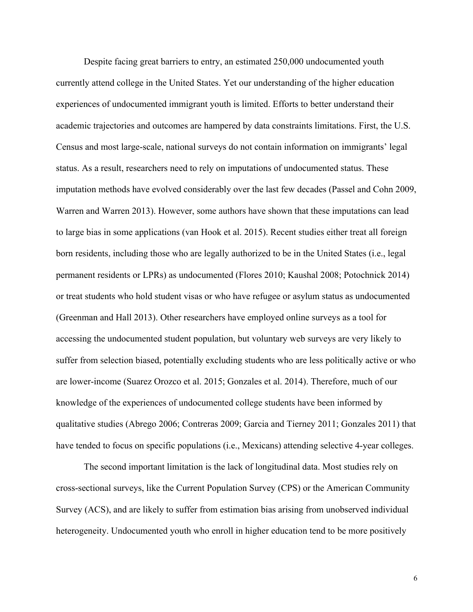Despite facing great barriers to entry, an estimated 250,000 undocumented youth currently attend college in the United States. Yet our understanding of the higher education experiences of undocumented immigrant youth is limited. Efforts to better understand their academic trajectories and outcomes are hampered by data constraints limitations. First, the U.S. Census and most large-scale, national surveys do not contain information on immigrants' legal status. As a result, researchers need to rely on imputations of undocumented status. These imputation methods have evolved considerably over the last few decades (Passel and Cohn 2009, Warren and Warren 2013). However, some authors have shown that these imputations can lead to large bias in some applications (van Hook et al. 2015). Recent studies either treat all foreign born residents, including those who are legally authorized to be in the United States (i.e., legal permanent residents or LPRs) as undocumented (Flores 2010; Kaushal 2008; Potochnick 2014) or treat students who hold student visas or who have refugee or asylum status as undocumented (Greenman and Hall 2013). Other researchers have employed online surveys as a tool for accessing the undocumented student population, but voluntary web surveys are very likely to suffer from selection biased, potentially excluding students who are less politically active or who are lower-income (Suarez Orozco et al. 2015; Gonzales et al. 2014). Therefore, much of our knowledge of the experiences of undocumented college students have been informed by qualitative studies (Abrego 2006; Contreras 2009; Garcia and Tierney 2011; Gonzales 2011) that have tended to focus on specific populations (i.e., Mexicans) attending selective 4-year colleges.

The second important limitation is the lack of longitudinal data. Most studies rely on cross-sectional surveys, like the Current Population Survey (CPS) or the American Community Survey (ACS), and are likely to suffer from estimation bias arising from unobserved individual heterogeneity. Undocumented youth who enroll in higher education tend to be more positively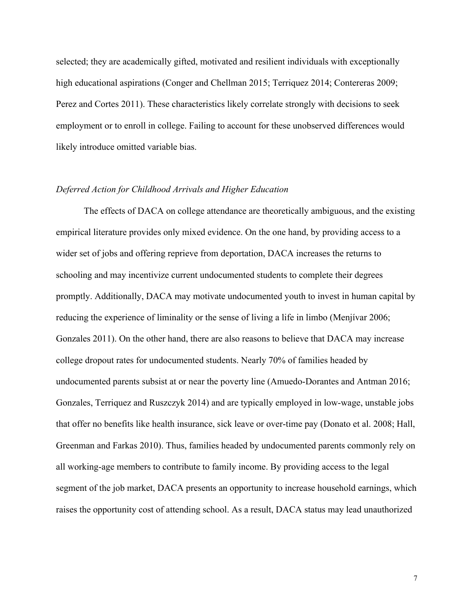selected; they are academically gifted, motivated and resilient individuals with exceptionally high educational aspirations (Conger and Chellman 2015; Terriquez 2014; Contereras 2009; Perez and Cortes 2011). These characteristics likely correlate strongly with decisions to seek employment or to enroll in college. Failing to account for these unobserved differences would likely introduce omitted variable bias.

#### *Deferred Action for Childhood Arrivals and Higher Education*

The effects of DACA on college attendance are theoretically ambiguous, and the existing empirical literature provides only mixed evidence. On the one hand, by providing access to a wider set of jobs and offering reprieve from deportation, DACA increases the returns to schooling and may incentivize current undocumented students to complete their degrees promptly. Additionally, DACA may motivate undocumented youth to invest in human capital by reducing the experience of liminality or the sense of living a life in limbo (Menjívar 2006; Gonzales 2011). On the other hand, there are also reasons to believe that DACA may increase college dropout rates for undocumented students. Nearly 70% of families headed by undocumented parents subsist at or near the poverty line (Amuedo-Dorantes and Antman 2016; Gonzales, Terriquez and Ruszczyk 2014) and are typically employed in low-wage, unstable jobs that offer no benefits like health insurance, sick leave or over-time pay (Donato et al. 2008; Hall, Greenman and Farkas 2010). Thus, families headed by undocumented parents commonly rely on all working-age members to contribute to family income. By providing access to the legal segment of the job market, DACA presents an opportunity to increase household earnings, which raises the opportunity cost of attending school. As a result, DACA status may lead unauthorized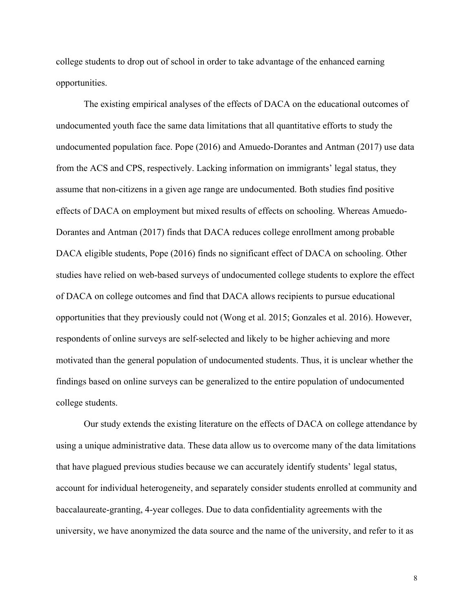college students to drop out of school in order to take advantage of the enhanced earning opportunities.

The existing empirical analyses of the effects of DACA on the educational outcomes of undocumented youth face the same data limitations that all quantitative efforts to study the undocumented population face. Pope (2016) and Amuedo-Dorantes and Antman (2017) use data from the ACS and CPS, respectively. Lacking information on immigrants' legal status, they assume that non-citizens in a given age range are undocumented. Both studies find positive effects of DACA on employment but mixed results of effects on schooling. Whereas Amuedo-Dorantes and Antman (2017) finds that DACA reduces college enrollment among probable DACA eligible students, Pope (2016) finds no significant effect of DACA on schooling. Other studies have relied on web-based surveys of undocumented college students to explore the effect of DACA on college outcomes and find that DACA allows recipients to pursue educational opportunities that they previously could not (Wong et al. 2015; Gonzales et al. 2016). However, respondents of online surveys are self-selected and likely to be higher achieving and more motivated than the general population of undocumented students. Thus, it is unclear whether the findings based on online surveys can be generalized to the entire population of undocumented college students.

Our study extends the existing literature on the effects of DACA on college attendance by using a unique administrative data. These data allow us to overcome many of the data limitations that have plagued previous studies because we can accurately identify students' legal status, account for individual heterogeneity, and separately consider students enrolled at community and baccalaureate-granting, 4-year colleges. Due to data confidentiality agreements with the university, we have anonymized the data source and the name of the university, and refer to it as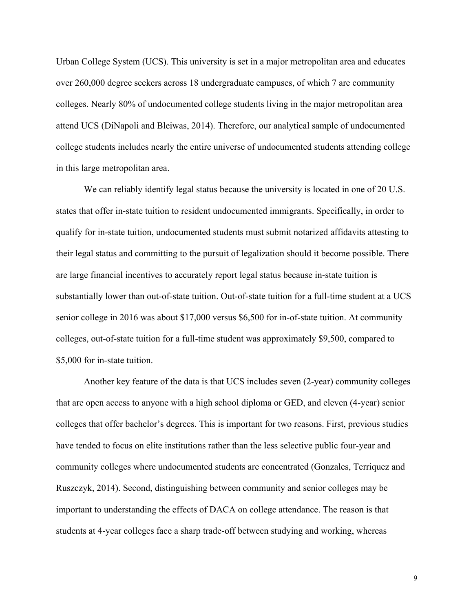Urban College System (UCS). This university is set in a major metropolitan area and educates over 260,000 degree seekers across 18 undergraduate campuses, of which 7 are community colleges. Nearly 80% of undocumented college students living in the major metropolitan area attend UCS (DiNapoli and Bleiwas, 2014). Therefore, our analytical sample of undocumented college students includes nearly the entire universe of undocumented students attending college in this large metropolitan area.

We can reliably identify legal status because the university is located in one of 20 U.S. states that offer in-state tuition to resident undocumented immigrants. Specifically, in order to qualify for in-state tuition, undocumented students must submit notarized affidavits attesting to their legal status and committing to the pursuit of legalization should it become possible. There are large financial incentives to accurately report legal status because in-state tuition is substantially lower than out-of-state tuition. Out-of-state tuition for a full-time student at a UCS senior college in 2016 was about \$17,000 versus \$6,500 for in-of-state tuition. At community colleges, out-of-state tuition for a full-time student was approximately \$9,500, compared to \$5,000 for in-state tuition.

Another key feature of the data is that UCS includes seven (2-year) community colleges that are open access to anyone with a high school diploma or GED, and eleven (4-year) senior colleges that offer bachelor's degrees. This is important for two reasons. First, previous studies have tended to focus on elite institutions rather than the less selective public four-year and community colleges where undocumented students are concentrated (Gonzales, Terriquez and Ruszczyk, 2014). Second, distinguishing between community and senior colleges may be important to understanding the effects of DACA on college attendance. The reason is that students at 4-year colleges face a sharp trade-off between studying and working, whereas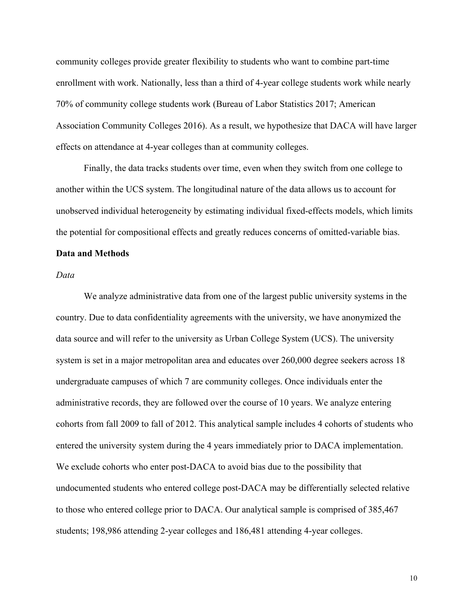community colleges provide greater flexibility to students who want to combine part-time enrollment with work. Nationally, less than a third of 4-year college students work while nearly 70% of community college students work (Bureau of Labor Statistics 2017; American Association Community Colleges 2016). As a result, we hypothesize that DACA will have larger effects on attendance at 4-year colleges than at community colleges.

Finally, the data tracks students over time, even when they switch from one college to another within the UCS system. The longitudinal nature of the data allows us to account for unobserved individual heterogeneity by estimating individual fixed-effects models, which limits the potential for compositional effects and greatly reduces concerns of omitted-variable bias.

#### **Data and Methods**

#### *Data*

We analyze administrative data from one of the largest public university systems in the country. Due to data confidentiality agreements with the university, we have anonymized the data source and will refer to the university as Urban College System (UCS). The university system is set in a major metropolitan area and educates over 260,000 degree seekers across 18 undergraduate campuses of which 7 are community colleges. Once individuals enter the administrative records, they are followed over the course of 10 years. We analyze entering cohorts from fall 2009 to fall of 2012. This analytical sample includes 4 cohorts of students who entered the university system during the 4 years immediately prior to DACA implementation. We exclude cohorts who enter post-DACA to avoid bias due to the possibility that undocumented students who entered college post-DACA may be differentially selected relative to those who entered college prior to DACA. Our analytical sample is comprised of 385,467 students; 198,986 attending 2-year colleges and 186,481 attending 4-year colleges.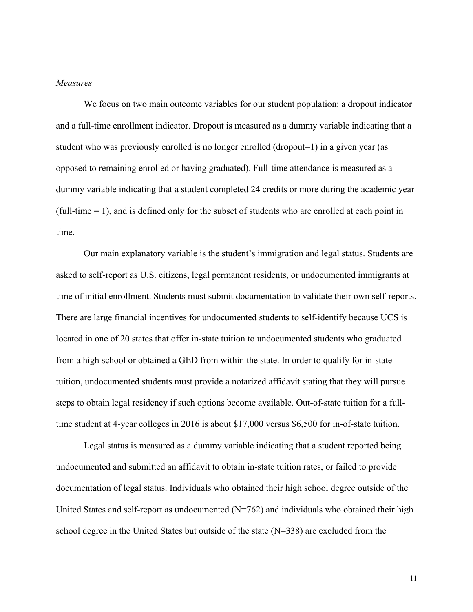#### *Measures*

We focus on two main outcome variables for our student population: a dropout indicator and a full-time enrollment indicator. Dropout is measured as a dummy variable indicating that a student who was previously enrolled is no longer enrolled (dropout=1) in a given year (as opposed to remaining enrolled or having graduated). Full-time attendance is measured as a dummy variable indicating that a student completed 24 credits or more during the academic year (full-time = 1), and is defined only for the subset of students who are enrolled at each point in time.

Our main explanatory variable is the student's immigration and legal status. Students are asked to self-report as U.S. citizens, legal permanent residents, or undocumented immigrants at time of initial enrollment. Students must submit documentation to validate their own self-reports. There are large financial incentives for undocumented students to self-identify because UCS is located in one of 20 states that offer in-state tuition to undocumented students who graduated from a high school or obtained a GED from within the state. In order to qualify for in-state tuition, undocumented students must provide a notarized affidavit stating that they will pursue steps to obtain legal residency if such options become available. Out-of-state tuition for a fulltime student at 4-year colleges in 2016 is about \$17,000 versus \$6,500 for in-of-state tuition.

Legal status is measured as a dummy variable indicating that a student reported being undocumented and submitted an affidavit to obtain in-state tuition rates, or failed to provide documentation of legal status. Individuals who obtained their high school degree outside of the United States and self-report as undocumented  $(N=762)$  and individuals who obtained their high school degree in the United States but outside of the state (N=338) are excluded from the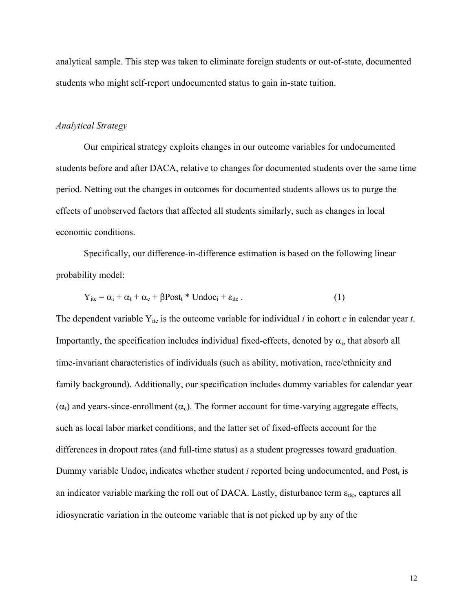analytical sample. This step was taken to eliminate foreign students or out-of-state, documented students who might self-report undocumented status to gain in-state tuition.

#### *Analytical Strategy*

Our empirical strategy exploits changes in our outcome variables for undocumented students before and after DACA, relative to changes for documented students over the same time period. Netting out the changes in outcomes for documented students allows us to purge the effects of unobserved factors that affected all students similarly, such as changes in local economic conditions.

Specifically, our difference-in-difference estimation is based on the following linear probability model:

$$
Y_{\text{it}} = \alpha_i + \alpha_t + \alpha_c + \beta \text{Post}_t * \text{Undoc}_i + \varepsilon_{\text{it}}.
$$
 (1)

The dependent variable  $Y_{\text{it}}$  is the outcome variable for individual *i* in cohort *c* in calendar year *t*. Importantly, the specification includes individual fixed-effects, denoted by  $\alpha_i$ , that absorb all time-invariant characteristics of individuals (such as ability, motivation, race/ethnicity and family background). Additionally, our specification includes dummy variables for calendar year  $(\alpha_t)$  and years-since-enrollment  $(\alpha_c)$ . The former account for time-varying aggregate effects, such as local labor market conditions, and the latter set of fixed-effects account for the differences in dropout rates (and full-time status) as a student progresses toward graduation. Dummy variable Undoc<sub>i</sub> indicates whether student *i* reported being undocumented, and Post<sub>t</sub> is an indicator variable marking the roll out of DACA. Lastly, disturbance term  $\varepsilon_{\text{itc}}$ , captures all idiosyncratic variation in the outcome variable that is not picked up by any of the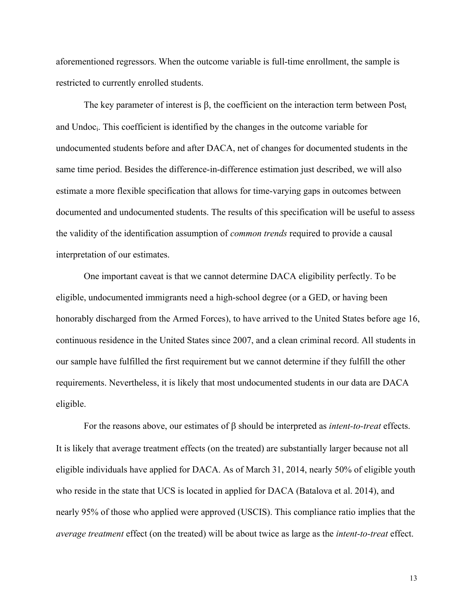aforementioned regressors. When the outcome variable is full-time enrollment, the sample is restricted to currently enrolled students.

The key parameter of interest is  $\beta$ , the coefficient on the interaction term between Post<sub>t</sub> and Undoci. This coefficient is identified by the changes in the outcome variable for undocumented students before and after DACA, net of changes for documented students in the same time period. Besides the difference-in-difference estimation just described, we will also estimate a more flexible specification that allows for time-varying gaps in outcomes between documented and undocumented students. The results of this specification will be useful to assess the validity of the identification assumption of *common trends* required to provide a causal interpretation of our estimates.

One important caveat is that we cannot determine DACA eligibility perfectly. To be eligible, undocumented immigrants need a high-school degree (or a GED, or having been honorably discharged from the Armed Forces), to have arrived to the United States before age 16, continuous residence in the United States since 2007, and a clean criminal record. All students in our sample have fulfilled the first requirement but we cannot determine if they fulfill the other requirements. Nevertheless, it is likely that most undocumented students in our data are DACA eligible.

For the reasons above, our estimates of  $\beta$  should be interpreted as *intent-to-treat* effects. It is likely that average treatment effects (on the treated) are substantially larger because not all eligible individuals have applied for DACA. As of March 31, 2014, nearly 50% of eligible youth who reside in the state that UCS is located in applied for DACA (Batalova et al. 2014), and nearly 95% of those who applied were approved (USCIS). This compliance ratio implies that the *average treatment* effect (on the treated) will be about twice as large as the *intent-to-treat* effect.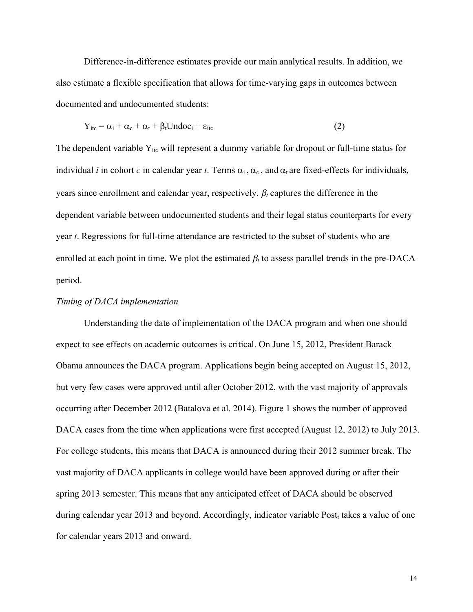Difference-in-difference estimates provide our main analytical results. In addition, we also estimate a flexible specification that allows for time-varying gaps in outcomes between documented and undocumented students:

$$
Y_{itc} = \alpha_i + \alpha_c + \alpha_t + \beta_t Undoc_i + \varepsilon_{itc}
$$
 (2)

The dependent variable  $Y_{\text{it}}$  will represent a dummy variable for dropout or full-time status for individual *i* in cohort *c* in calendar year *t*. Terms  $\alpha_i$ ,  $\alpha_c$ , and  $\alpha_t$  are fixed-effects for individuals, years since enrollment and calendar year, respectively.  $\beta_t$  captures the difference in the dependent variable between undocumented students and their legal status counterparts for every year *t*. Regressions for full-time attendance are restricted to the subset of students who are enrolled at each point in time. We plot the estimated  $\beta_t$  to assess parallel trends in the pre-DACA period.

#### *Timing of DACA implementation*

Understanding the date of implementation of the DACA program and when one should expect to see effects on academic outcomes is critical. On June 15, 2012, President Barack Obama announces the DACA program. Applications begin being accepted on August 15, 2012, but very few cases were approved until after October 2012, with the vast majority of approvals occurring after December 2012 (Batalova et al. 2014). Figure 1 shows the number of approved DACA cases from the time when applications were first accepted (August 12, 2012) to July 2013. For college students, this means that DACA is announced during their 2012 summer break. The vast majority of DACA applicants in college would have been approved during or after their spring 2013 semester. This means that any anticipated effect of DACA should be observed during calendar year 2013 and beyond. Accordingly, indicator variable Post<sub>t</sub> takes a value of one for calendar years 2013 and onward.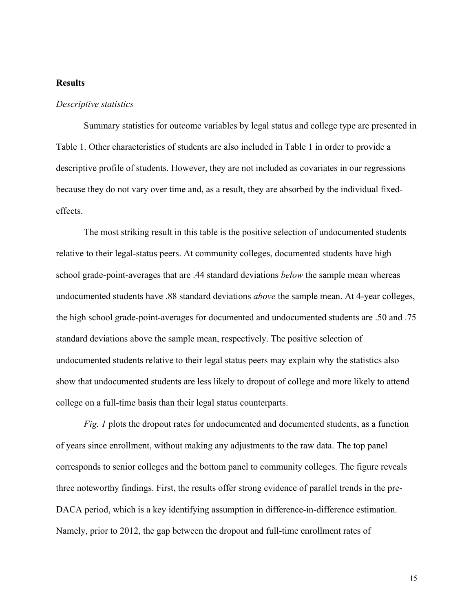### **Results**

#### *Descriptive statistics*

Summary statistics for outcome variables by legal status and college type are presented in Table 1. Other characteristics of students are also included in Table 1 in order to provide a descriptive profile of students. However, they are not included as covariates in our regressions because they do not vary over time and, as a result, they are absorbed by the individual fixedeffects.

The most striking result in this table is the positive selection of undocumented students relative to their legal-status peers. At community colleges, documented students have high school grade-point-averages that are .44 standard deviations *below* the sample mean whereas undocumented students have .88 standard deviations *above* the sample mean. At 4-year colleges, the high school grade-point-averages for documented and undocumented students are .50 and .75 standard deviations above the sample mean, respectively. The positive selection of undocumented students relative to their legal status peers may explain why the statistics also show that undocumented students are less likely to dropout of college and more likely to attend college on a full-time basis than their legal status counterparts.

*Fig. 1* plots the dropout rates for undocumented and documented students, as a function of years since enrollment, without making any adjustments to the raw data. The top panel corresponds to senior colleges and the bottom panel to community colleges. The figure reveals three noteworthy findings. First, the results offer strong evidence of parallel trends in the pre-DACA period, which is a key identifying assumption in difference-in-difference estimation. Namely, prior to 2012, the gap between the dropout and full-time enrollment rates of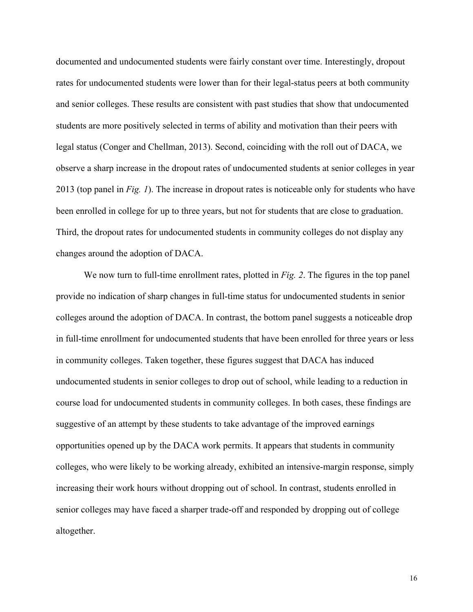documented and undocumented students were fairly constant over time. Interestingly, dropout rates for undocumented students were lower than for their legal-status peers at both community and senior colleges. These results are consistent with past studies that show that undocumented students are more positively selected in terms of ability and motivation than their peers with legal status (Conger and Chellman, 2013). Second, coinciding with the roll out of DACA, we observe a sharp increase in the dropout rates of undocumented students at senior colleges in year 2013 (top panel in *Fig. 1*). The increase in dropout rates is noticeable only for students who have been enrolled in college for up to three years, but not for students that are close to graduation. Third, the dropout rates for undocumented students in community colleges do not display any changes around the adoption of DACA.

We now turn to full-time enrollment rates, plotted in *Fig. 2*. The figures in the top panel provide no indication of sharp changes in full-time status for undocumented students in senior colleges around the adoption of DACA. In contrast, the bottom panel suggests a noticeable drop in full-time enrollment for undocumented students that have been enrolled for three years or less in community colleges. Taken together, these figures suggest that DACA has induced undocumented students in senior colleges to drop out of school, while leading to a reduction in course load for undocumented students in community colleges. In both cases, these findings are suggestive of an attempt by these students to take advantage of the improved earnings opportunities opened up by the DACA work permits. It appears that students in community colleges, who were likely to be working already, exhibited an intensive-margin response, simply increasing their work hours without dropping out of school. In contrast, students enrolled in senior colleges may have faced a sharper trade-off and responded by dropping out of college altogether.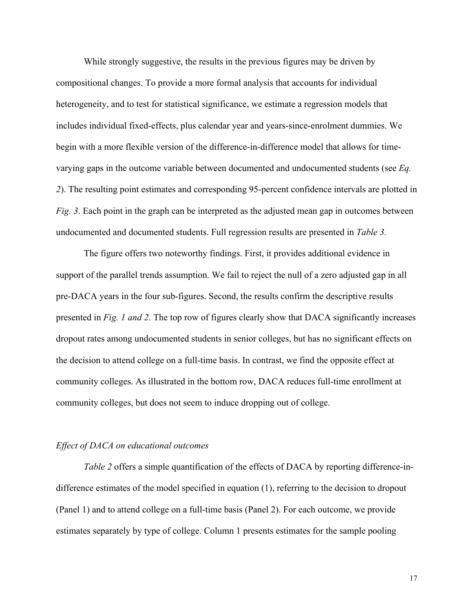While strongly suggestive, the results in the previous figures may be driven by compositional changes. To provide a more formal analysis that accounts for individual heterogeneity, and to test for statistical significance, we estimate a regression models that includes individual fixed-effects, plus calendar year and years-since-enrolment dummies. We begin with a more flexible version of the difference-in-difference model that allows for timevarying gaps in the outcome variable between documented and undocumented students (see *Eq. 2*). The resulting point estimates and corresponding 95-percent confidence intervals are plotted in *Fig. 3*. Each point in the graph can be interpreted as the adjusted mean gap in outcomes between undocumented and documented students. Full regression results are presented in *Table 3.*

The figure offers two noteworthy findings. First, it provides additional evidence in support of the parallel trends assumption. We fail to reject the null of a zero adjusted gap in all pre-DACA years in the four sub-figures. Second, the results confirm the descriptive results presented in *Fig. 1 and 2*. The top row of figures clearly show that DACA significantly increases dropout rates among undocumented students in senior colleges, but has no significant effects on the decision to attend college on a full-time basis. In contrast, we find the opposite effect at community colleges. As illustrated in the bottom row, DACA reduces full-time enrollment at community colleges, but does not seem to induce dropping out of college.

### *Effect of DACA on educational outcomes*

*Table 2* offers a simple quantification of the effects of DACA by reporting difference-indifference estimates of the model specified in equation (1), referring to the decision to dropout (Panel 1) and to attend college on a full-time basis (Panel 2). For each outcome, we provide estimates separately by type of college. Column 1 presents estimates for the sample pooling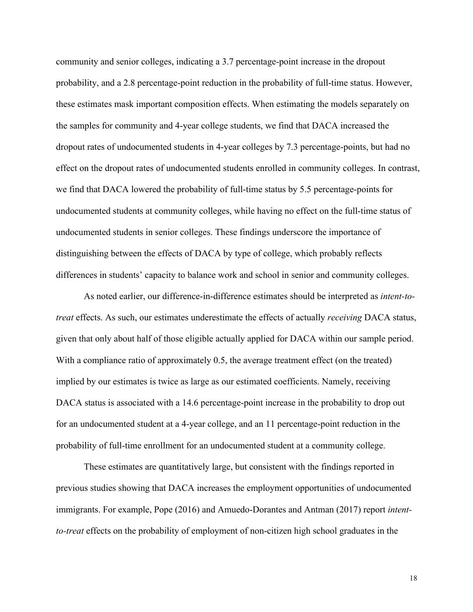community and senior colleges, indicating a 3.7 percentage-point increase in the dropout probability, and a 2.8 percentage-point reduction in the probability of full-time status. However, these estimates mask important composition effects. When estimating the models separately on the samples for community and 4-year college students, we find that DACA increased the dropout rates of undocumented students in 4-year colleges by 7.3 percentage-points, but had no effect on the dropout rates of undocumented students enrolled in community colleges. In contrast, we find that DACA lowered the probability of full-time status by 5.5 percentage-points for undocumented students at community colleges, while having no effect on the full-time status of undocumented students in senior colleges. These findings underscore the importance of distinguishing between the effects of DACA by type of college, which probably reflects differences in students' capacity to balance work and school in senior and community colleges.

As noted earlier, our difference-in-difference estimates should be interpreted as *intent-totreat* effects. As such, our estimates underestimate the effects of actually *receiving* DACA status, given that only about half of those eligible actually applied for DACA within our sample period. With a compliance ratio of approximately 0.5, the average treatment effect (on the treated) implied by our estimates is twice as large as our estimated coefficients. Namely, receiving DACA status is associated with a 14.6 percentage-point increase in the probability to drop out for an undocumented student at a 4-year college, and an 11 percentage-point reduction in the probability of full-time enrollment for an undocumented student at a community college.

These estimates are quantitatively large, but consistent with the findings reported in previous studies showing that DACA increases the employment opportunities of undocumented immigrants. For example, Pope (2016) and Amuedo-Dorantes and Antman (2017) report *intentto-treat* effects on the probability of employment of non-citizen high school graduates in the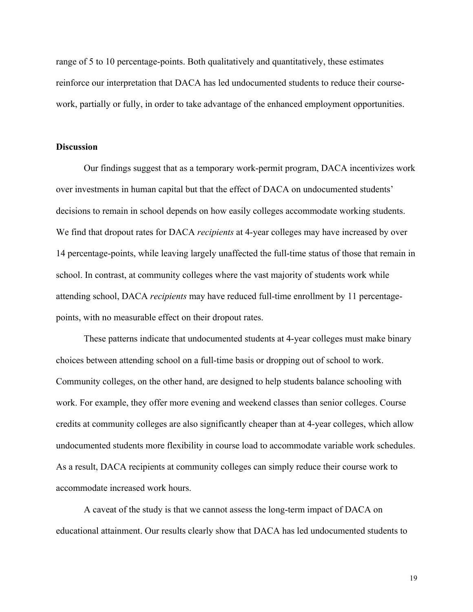range of 5 to 10 percentage-points. Both qualitatively and quantitatively, these estimates reinforce our interpretation that DACA has led undocumented students to reduce their coursework, partially or fully, in order to take advantage of the enhanced employment opportunities.

#### **Discussion**

Our findings suggest that as a temporary work-permit program, DACA incentivizes work over investments in human capital but that the effect of DACA on undocumented students' decisions to remain in school depends on how easily colleges accommodate working students. We find that dropout rates for DACA *recipients* at 4-year colleges may have increased by over 14 percentage-points, while leaving largely unaffected the full-time status of those that remain in school. In contrast, at community colleges where the vast majority of students work while attending school, DACA *recipients* may have reduced full-time enrollment by 11 percentagepoints, with no measurable effect on their dropout rates.

These patterns indicate that undocumented students at 4-year colleges must make binary choices between attending school on a full-time basis or dropping out of school to work. Community colleges, on the other hand, are designed to help students balance schooling with work. For example, they offer more evening and weekend classes than senior colleges. Course credits at community colleges are also significantly cheaper than at 4-year colleges, which allow undocumented students more flexibility in course load to accommodate variable work schedules. As a result, DACA recipients at community colleges can simply reduce their course work to accommodate increased work hours.

A caveat of the study is that we cannot assess the long-term impact of DACA on educational attainment. Our results clearly show that DACA has led undocumented students to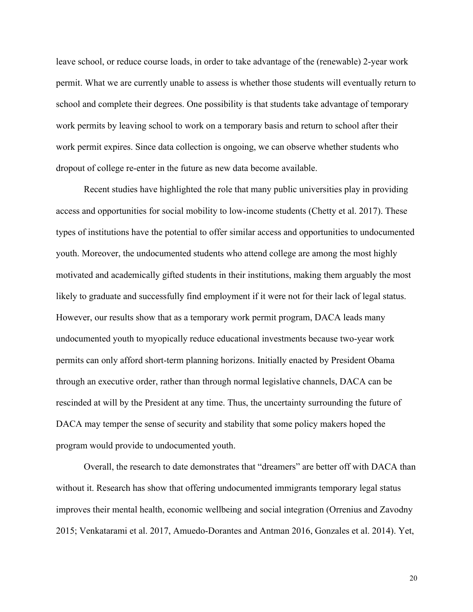leave school, or reduce course loads, in order to take advantage of the (renewable) 2-year work permit. What we are currently unable to assess is whether those students will eventually return to school and complete their degrees. One possibility is that students take advantage of temporary work permits by leaving school to work on a temporary basis and return to school after their work permit expires. Since data collection is ongoing, we can observe whether students who dropout of college re-enter in the future as new data become available.

Recent studies have highlighted the role that many public universities play in providing access and opportunities for social mobility to low-income students (Chetty et al. 2017). These types of institutions have the potential to offer similar access and opportunities to undocumented youth. Moreover, the undocumented students who attend college are among the most highly motivated and academically gifted students in their institutions, making them arguably the most likely to graduate and successfully find employment if it were not for their lack of legal status. However, our results show that as a temporary work permit program, DACA leads many undocumented youth to myopically reduce educational investments because two-year work permits can only afford short-term planning horizons. Initially enacted by President Obama through an executive order, rather than through normal legislative channels, DACA can be rescinded at will by the President at any time. Thus, the uncertainty surrounding the future of DACA may temper the sense of security and stability that some policy makers hoped the program would provide to undocumented youth.

Overall, the research to date demonstrates that "dreamers" are better off with DACA than without it. Research has show that offering undocumented immigrants temporary legal status improves their mental health, economic wellbeing and social integration (Orrenius and Zavodny 2015; Venkatarami et al. 2017, Amuedo-Dorantes and Antman 2016, Gonzales et al. 2014). Yet,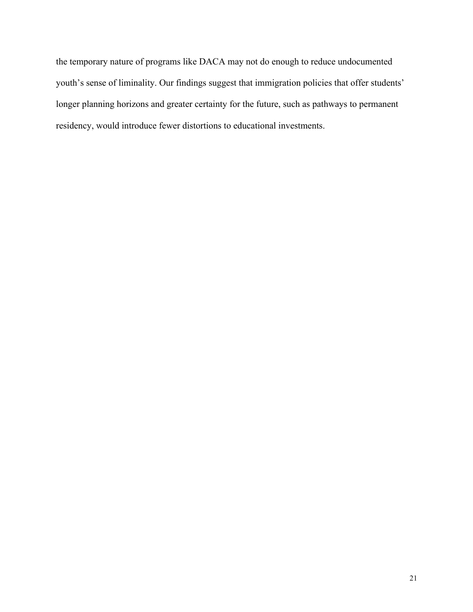the temporary nature of programs like DACA may not do enough to reduce undocumented youth's sense of liminality. Our findings suggest that immigration policies that offer students' longer planning horizons and greater certainty for the future, such as pathways to permanent residency, would introduce fewer distortions to educational investments.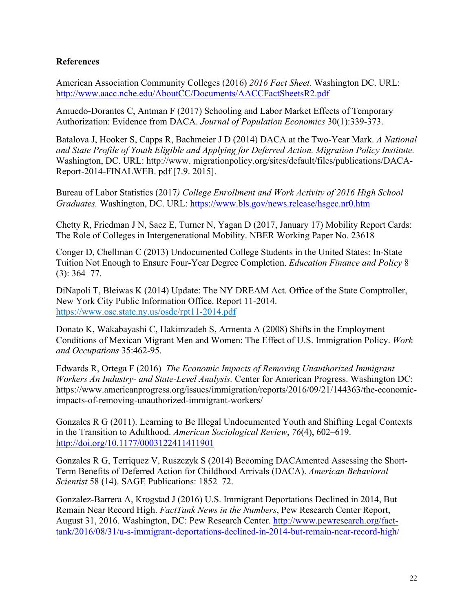### **References**

American Association Community Colleges (2016) *2016 Fact Sheet.* Washington DC. URL: http://www.aacc.nche.edu/AboutCC/Documents/AACCFactSheetsR2.pdf

Amuedo-Dorantes C, Antman F (2017) Schooling and Labor Market Effects of Temporary Authorization: Evidence from DACA. *Journal of Population Economics* 30(1):339-373.

Batalova J, Hooker S, Capps R, Bachmeier J D (2014) DACA at the Two-Year Mark. *A National and State Profile of Youth Eligible and Applying for Deferred Action. Migration Policy Institute.*  Washington, DC. URL: http://www. migrationpolicy.org/sites/default/files/publications/DACA-Report-2014-FINALWEB. pdf [7.9. 2015].

Bureau of Labor Statistics (2017*) College Enrollment and Work Activity of 2016 High School Graduates.* Washington, DC. URL: https://www.bls.gov/news.release/hsgec.nr0.htm

Chetty R, Friedman J N, Saez E, Turner N, Yagan D (2017, January 17) Mobility Report Cards: The Role of Colleges in Intergenerational Mobility. NBER Working Paper No. 23618

Conger D, Chellman C (2013) Undocumented College Students in the United States: In-State Tuition Not Enough to Ensure Four-Year Degree Completion. *Education Finance and Policy* 8 (3): 364–77.

DiNapoli T, Bleiwas K (2014) Update: The NY DREAM Act. Office of the State Comptroller, New York City Public Information Office. Report 11-2014. https://www.osc.state.ny.us/osdc/rpt11-2014.pdf

Donato K, Wakabayashi C, Hakimzadeh S, Armenta A (2008) Shifts in the Employment Conditions of Mexican Migrant Men and Women: The Effect of U.S. Immigration Policy. *Work and Occupations* 35:462-95.

Edwards R, Ortega F (2016) *The Economic Impacts of Removing Unauthorized Immigrant Workers An Industry- and State-Level Analysis.* Center for American Progress. Washington DC: https://www.americanprogress.org/issues/immigration/reports/2016/09/21/144363/the-economicimpacts-of-removing-unauthorized-immigrant-workers/

Gonzales R G (2011). Learning to Be Illegal Undocumented Youth and Shifting Legal Contexts in the Transition to Adulthood. *American Sociological Review*, *76*(4), 602–619. http://doi.org/10.1177/0003122411411901

Gonzales R G, Terriquez V, Ruszczyk S (2014) Becoming DACAmented Assessing the Short-Term Benefits of Deferred Action for Childhood Arrivals (DACA). *American Behavioral Scientist* 58 (14). SAGE Publications: 1852–72.

Gonzalez-Barrera A, Krogstad J (2016) U.S. Immigrant Deportations Declined in 2014, But Remain Near Record High. *FactTank News in the Numbers*, Pew Research Center Report, August 31, 2016. Washington, DC: Pew Research Center. http://www.pewresearch.org/facttank/2016/08/31/u-s-immigrant-deportations-declined-in-2014-but-remain-near-record-high/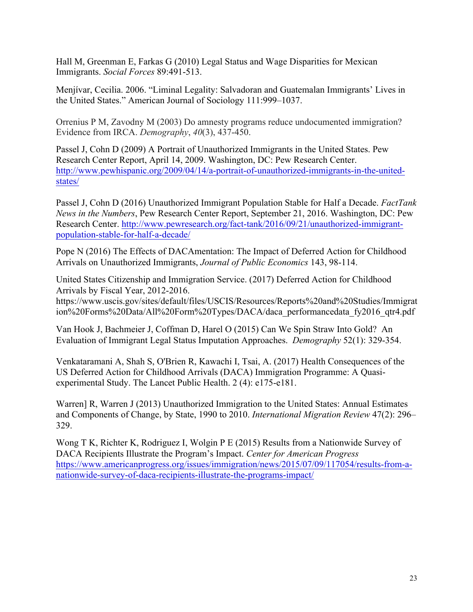Hall M, Greenman E, Farkas G (2010) Legal Status and Wage Disparities for Mexican Immigrants. *Social Forces* 89:491-513.

Menjívar, Cecilia. 2006. "Liminal Legality: Salvadoran and Guatemalan Immigrants' Lives in the United States." American Journal of Sociology 111:999–1037.

Orrenius P M, Zavodny M (2003) Do amnesty programs reduce undocumented immigration? Evidence from IRCA. *Demography*, *40*(3), 437-450.

Passel J, Cohn D (2009) A Portrait of Unauthorized Immigrants in the United States. Pew Research Center Report, April 14, 2009. Washington, DC: Pew Research Center. http://www.pewhispanic.org/2009/04/14/a-portrait-of-unauthorized-immigrants-in-the-unitedstates/

Passel J, Cohn D (2016) Unauthorized Immigrant Population Stable for Half a Decade. *FactTank News in the Numbers*, Pew Research Center Report, September 21, 2016. Washington, DC: Pew Research Center. http://www.pewresearch.org/fact-tank/2016/09/21/unauthorized-immigrantpopulation-stable-for-half-a-decade/

Pope N (2016) The Effects of DACAmentation: The Impact of Deferred Action for Childhood Arrivals on Unauthorized Immigrants, *Journal of Public Economics* 143, 98-114.

United States Citizenship and Immigration Service. (2017) Deferred Action for Childhood Arrivals by Fiscal Year, 2012-2016.

https://www.uscis.gov/sites/default/files/USCIS/Resources/Reports%20and%20Studies/Immigrat ion%20Forms%20Data/All%20Form%20Types/DACA/daca\_performancedata\_fy2016\_qtr4.pdf

Van Hook J, Bachmeier J, Coffman D, Harel O (2015) Can We Spin Straw Into Gold? An Evaluation of Immigrant Legal Status Imputation Approaches. *Demography* 52(1): 329-354.

Venkataramani A, Shah S, O'Brien R, Kawachi I, Tsai, A. (2017) Health Consequences of the US Deferred Action for Childhood Arrivals (DACA) Immigration Programme: A Quasiexperimental Study. The Lancet Public Health. 2 (4): e175-e181.

Warren] R, Warren J (2013) Unauthorized Immigration to the United States: Annual Estimates and Components of Change, by State, 1990 to 2010. *International Migration Review* 47(2): 296– 329.

Wong T K, Richter K, Rodriguez I, Wolgin P E (2015) Results from a Nationwide Survey of DACA Recipients Illustrate the Program's Impact. *Center for American Progress* https://www.americanprogress.org/issues/immigration/news/2015/07/09/117054/results-from-anationwide-survey-of-daca-recipients-illustrate-the-programs-impact/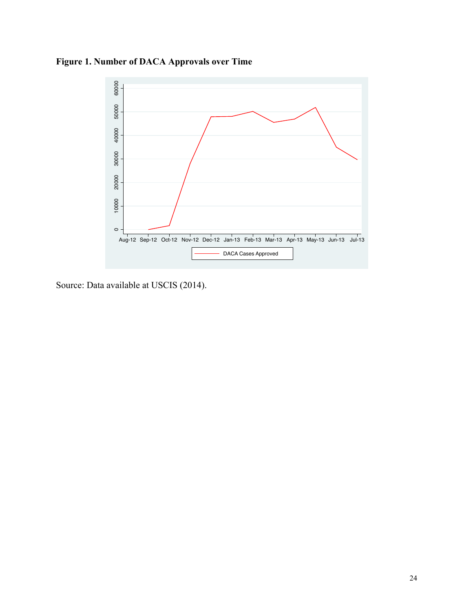**Figure 1. Number of DACA Approvals over Time**



Source: Data available at USCIS (2014).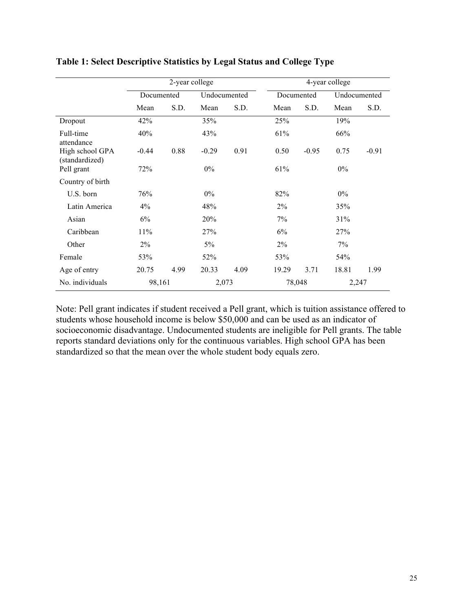|                                   |            | 2-year college |              |      |            |         | 4-year college |         |
|-----------------------------------|------------|----------------|--------------|------|------------|---------|----------------|---------|
|                                   | Documented |                | Undocumented |      | Documented |         | Undocumented   |         |
|                                   | Mean       | S.D.           | Mean         | S.D. | Mean       | S.D.    | Mean           | S.D.    |
| Dropout                           | 42%        |                | 35%          |      | 25%        |         | 19%            |         |
| Full-time<br>attendance           | 40%        |                | 43%          |      | 61%        |         | 66%            |         |
| High school GPA<br>(standardized) | $-0.44$    | 0.88           | $-0.29$      | 0.91 | 0.50       | $-0.95$ | 0.75           | $-0.91$ |
| Pell grant                        | 72%        |                | $0\%$        |      | 61%        |         | $0\%$          |         |
| Country of birth                  |            |                |              |      |            |         |                |         |
| U.S. born                         | 76%        |                | $0\%$        |      | 82%        |         | $0\%$          |         |
| Latin America                     | $4\%$      |                | 48%          |      | $2\%$      |         | 35%            |         |
| Asian                             | 6%         |                | 20%          |      | 7%         |         | 31%            |         |
| Caribbean                         | 11%        |                | 27%          |      | 6%         |         | 27%            |         |
| Other                             | 2%         |                | 5%           |      | $2\%$      |         | 7%             |         |
| Female                            | 53%        |                | 52%          |      | 53%        |         | 54%            |         |
| Age of entry                      | 20.75      | 4.99           | 20.33        | 4.09 | 19.29      | 3.71    | 18.81          | 1.99    |
| No. individuals                   | 98,161     |                | 2,073        |      | 78,048     |         | 2,247          |         |

## **Table 1: Select Descriptive Statistics by Legal Status and College Type**

Note: Pell grant indicates if student received a Pell grant, which is tuition assistance offered to students whose household income is below \$50,000 and can be used as an indicator of socioeconomic disadvantage. Undocumented students are ineligible for Pell grants. The table reports standard deviations only for the continuous variables. High school GPA has been standardized so that the mean over the whole student body equals zero.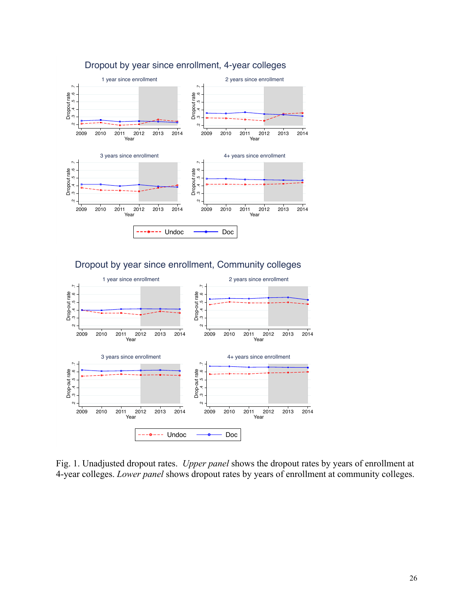

## Dropout by year since enrollment, 4-year colleges



Fig. 1. Unadjusted dropout rates. *Upper panel* shows the dropout rates by years of enrollment at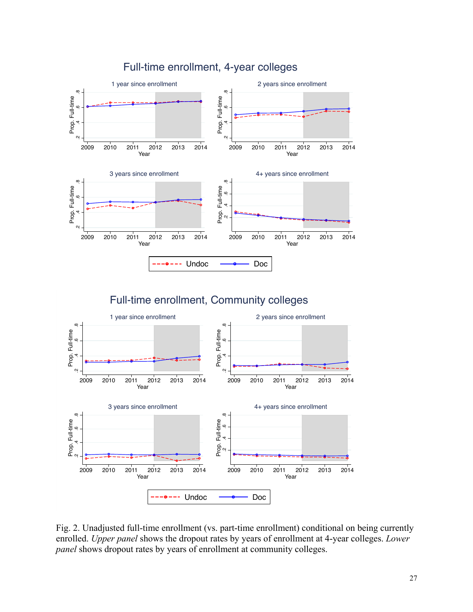

Fig. 2. Unadjusted full-time enrollment (vs. part-time enrollment) conditional on being currently enrolled. *Upper panel* shows the dropout rates by years of enrollment at 4-year colleges. *Lower*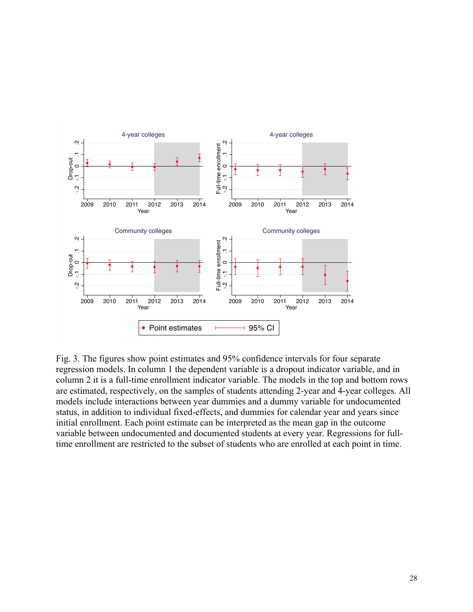

Fig. 3. The figures show point estimates and 95% confidence intervals for four separate regression models. In column 1 the dependent variable is a dropout indicator variable, and in column 2 it is a full-time enrollment indicator variable. The models in the top and bottom rows are estimated, respectively, on the samples of students attending 2-year and 4-year colleges. All models include interactions between year dummies and a dummy variable for undocumented status, in addition to individual fixed-effects, and dummies for calendar year and years since initial enrollment. Each point estimate can be interpreted as the mean gap in the outcome variable between undocumented and documented students at every year. Regressions for full-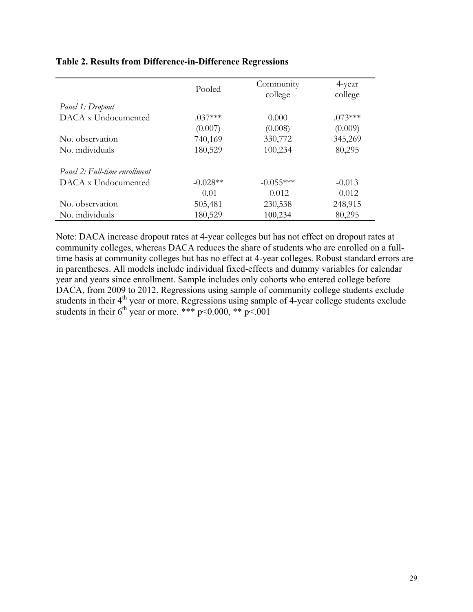|                               | Pooled     | Community<br>college | 4-year<br>college |
|-------------------------------|------------|----------------------|-------------------|
| Panel 1: Dropout              |            |                      |                   |
| DACA x Undocumented           | $.037***$  | 0.000                | $.073***$         |
|                               | (0.007)    | (0.008)              | (0.009)           |
| No. observation               | 740,169    | 330,772              | 345,269           |
| No. individuals               | 180,529    | 100,234              | 80,295            |
| Panel 2: Full-time enrollment |            |                      |                   |
| DACA x Undocumented           | $-0.028**$ | $-0.055***$          | $-0.013$          |
|                               | $-0.01$    | $-0.012$             | $-0.012$          |
| No. observation               | 505,481    | 230,538              | 248,915           |
| No. individuals               | 180,529    | 100,234              | 80,295            |

### **Table 2. Results from Difference-in-Difference Regressions**

Note: DACA increase dropout rates at 4-year colleges but has not effect on dropout rates at community colleges, whereas DACA reduces the share of students who are enrolled on a fulltime basis at community colleges but has no effect at 4-year colleges. Robust standard errors are in parentheses. All models include individual fixed-effects and dummy variables for calendar year and years since enrollment. Sample includes only cohorts who entered college before DACA, from 2009 to 2012. Regressions using sample of community college students exclude students in their  $4<sup>th</sup>$  year or more. Regressions using sample of 4-year college students exclude students in their  $6^{th}$  year or more. \*\*\* p<0.000, \*\* p<.001